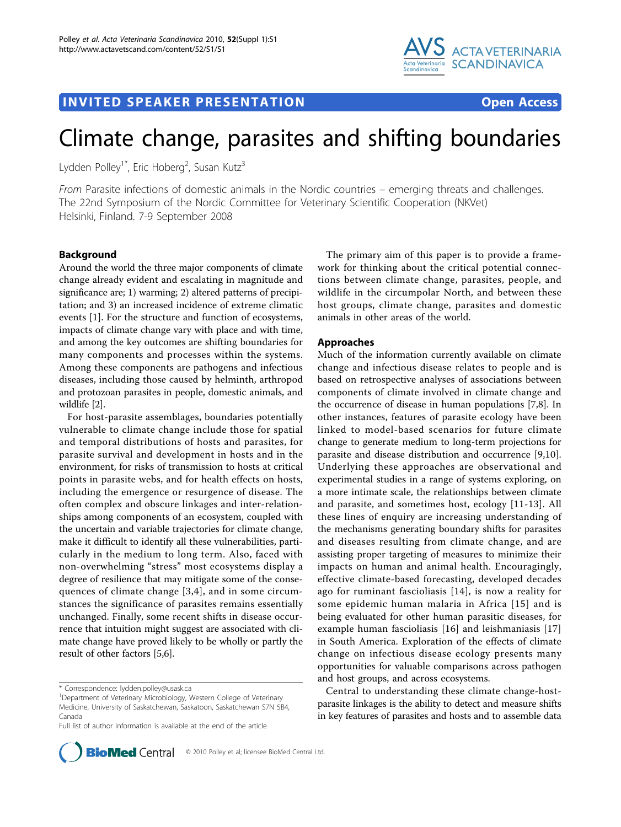

# **INVITED SPEAKER PRESENTATION CONSUMING THE SPEAKER PRESENTATION**

# Climate change, parasites and shifting boundaries

Lydden Polley<sup>1\*</sup>, Eric Hoberg<sup>2</sup>, Susan Kutz<sup>3</sup>

From Parasite infections of domestic animals in the Nordic countries – emerging threats and challenges. The 22nd Symposium of the Nordic Committee for Veterinary Scientific Cooperation (NKVet) Helsinki, Finland. 7-9 September 2008

## Background

Around the world the three major components of climate change already evident and escalating in magnitude and significance are; 1) warming; 2) altered patterns of precipitation; and 3) an increased incidence of extreme climatic events [[1\]](#page-3-0). For the structure and function of ecosystems, impacts of climate change vary with place and with time, and among the key outcomes are shifting boundaries for many components and processes within the systems. Among these components are pathogens and infectious diseases, including those caused by helminth, arthropod and protozoan parasites in people, domestic animals, and wildlife [\[2\]](#page-3-0).

For host-parasite assemblages, boundaries potentially vulnerable to climate change include those for spatial and temporal distributions of hosts and parasites, for parasite survival and development in hosts and in the environment, for risks of transmission to hosts at critical points in parasite webs, and for health effects on hosts, including the emergence or resurgence of disease. The often complex and obscure linkages and inter-relationships among components of an ecosystem, coupled with the uncertain and variable trajectories for climate change, make it difficult to identify all these vulnerabilities, particularly in the medium to long term. Also, faced with non-overwhelming "stress" most ecosystems display a degree of resilience that may mitigate some of the consequences of climate change [\[3,4](#page-3-0)], and in some circumstances the significance of parasites remains essentially unchanged. Finally, some recent shifts in disease occurrence that intuition might suggest are associated with climate change have proved likely to be wholly or partly the result of other factors [\[5,6](#page-3-0)].

The primary aim of this paper is to provide a framework for thinking about the critical potential connections between climate change, parasites, people, and wildlife in the circumpolar North, and between these host groups, climate change, parasites and domestic animals in other areas of the world.

#### Approaches

Much of the information currently available on climate change and infectious disease relates to people and is based on retrospective analyses of associations between components of climate involved in climate change and the occurrence of disease in human populations [\[7,8](#page-3-0)]. In other instances, features of parasite ecology have been linked to model-based scenarios for future climate change to generate medium to long-term projections for parasite and disease distribution and occurrence [[9,10](#page-3-0)]. Underlying these approaches are observational and experimental studies in a range of systems exploring, on a more intimate scale, the relationships between climate and parasite, and sometimes host, ecology [[11](#page-3-0)-[13](#page-3-0)]. All these lines of enquiry are increasing understanding of the mechanisms generating boundary shifts for parasites and diseases resulting from climate change, and are assisting proper targeting of measures to minimize their impacts on human and animal health. Encouragingly, effective climate-based forecasting, developed decades ago for ruminant fascioliasis [[14](#page-3-0)], is now a reality for some epidemic human malaria in Africa [[15\]](#page-3-0) and is being evaluated for other human parasitic diseases, for example human fascioliasis [[16](#page-4-0)] and leishmaniasis [\[17](#page-4-0)] in South America. Exploration of the effects of climate change on infectious disease ecology presents many opportunities for valuable comparisons across pathogen and host groups, and across ecosystems.

Central to understanding these climate change-hostparasite linkages is the ability to detect and measure shifts in key features of parasites and hosts and to assemble data



<sup>\*</sup> Correspondence: [lydden.polley@usask.ca](mailto:lydden.polley@usask.ca)

<sup>&</sup>lt;sup>1</sup>Department of Veterinary Microbiology, Western College of Veterinary Medicine, University of Saskatchewan, Saskatoon, Saskatchewan S7N 5B4, Canada

Full list of author information is available at the end of the article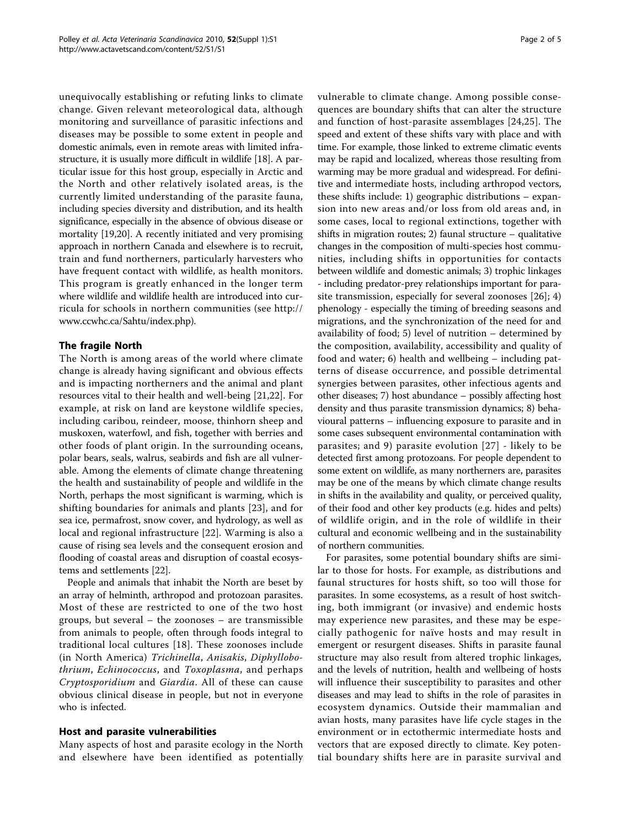unequivocally establishing or refuting links to climate change. Given relevant meteorological data, although monitoring and surveillance of parasitic infections and diseases may be possible to some extent in people and domestic animals, even in remote areas with limited infrastructure, it is usually more difficult in wildlife [\[18\]](#page-4-0). A particular issue for this host group, especially in Arctic and the North and other relatively isolated areas, is the currently limited understanding of the parasite fauna, including species diversity and distribution, and its health significance, especially in the absence of obvious disease or mortality [[19,20\]](#page-4-0). A recently initiated and very promising approach in northern Canada and elsewhere is to recruit, train and fund northerners, particularly harvesters who have frequent contact with wildlife, as health monitors. This program is greatly enhanced in the longer term where wildlife and wildlife health are introduced into curricula for schools in northern communities (see [http://](http://www.ccwhc.ca/Sahtu/index.php) [www.ccwhc.ca/Sahtu/index.php\)](http://www.ccwhc.ca/Sahtu/index.php).

# The fragile North

The North is among areas of the world where climate change is already having significant and obvious effects and is impacting northerners and the animal and plant resources vital to their health and well-being [\[21](#page-4-0),[22](#page-4-0)]. For example, at risk on land are keystone wildlife species, including caribou, reindeer, moose, thinhorn sheep and muskoxen, waterfowl, and fish, together with berries and other foods of plant origin. In the surrounding oceans, polar bears, seals, walrus, seabirds and fish are all vulnerable. Among the elements of climate change threatening the health and sustainability of people and wildlife in the North, perhaps the most significant is warming, which is shifting boundaries for animals and plants [\[23\]](#page-4-0), and for sea ice, permafrost, snow cover, and hydrology, as well as local and regional infrastructure [[22\]](#page-4-0). Warming is also a cause of rising sea levels and the consequent erosion and flooding of coastal areas and disruption of coastal ecosystems and settlements [[22](#page-4-0)].

People and animals that inhabit the North are beset by an array of helminth, arthropod and protozoan parasites. Most of these are restricted to one of the two host groups, but several – the zoonoses – are transmissible from animals to people, often through foods integral to traditional local cultures [[18](#page-4-0)]. These zoonoses include (in North America) Trichinella, Anisakis, Diphyllobothrium, Echinococcus, and Toxoplasma, and perhaps Cryptosporidium and Giardia. All of these can cause obvious clinical disease in people, but not in everyone who is infected.

# Host and parasite vulnerabilities

Many aspects of host and parasite ecology in the North and elsewhere have been identified as potentially vulnerable to climate change. Among possible consequences are boundary shifts that can alter the structure and function of host-parasite assemblages [\[24,25](#page-4-0)]. The speed and extent of these shifts vary with place and with time. For example, those linked to extreme climatic events may be rapid and localized, whereas those resulting from warming may be more gradual and widespread. For definitive and intermediate hosts, including arthropod vectors, these shifts include: 1) geographic distributions – expansion into new areas and/or loss from old areas and, in some cases, local to regional extinctions, together with shifts in migration routes; 2) faunal structure – qualitative changes in the composition of multi-species host communities, including shifts in opportunities for contacts between wildlife and domestic animals; 3) trophic linkages - including predator-prey relationships important for parasite transmission, especially for several zoonoses [[26\]](#page-4-0); 4) phenology - especially the timing of breeding seasons and migrations, and the synchronization of the need for and availability of food; 5) level of nutrition – determined by the composition, availability, accessibility and quality of food and water; 6) health and wellbeing – including patterns of disease occurrence, and possible detrimental synergies between parasites, other infectious agents and other diseases; 7) host abundance – possibly affecting host density and thus parasite transmission dynamics; 8) behavioural patterns – influencing exposure to parasite and in some cases subsequent environmental contamination with parasites; and 9) parasite evolution [[27](#page-4-0)] - likely to be detected first among protozoans. For people dependent to some extent on wildlife, as many northerners are, parasites may be one of the means by which climate change results in shifts in the availability and quality, or perceived quality, of their food and other key products (e.g. hides and pelts) of wildlife origin, and in the role of wildlife in their cultural and economic wellbeing and in the sustainability of northern communities.

For parasites, some potential boundary shifts are similar to those for hosts. For example, as distributions and faunal structures for hosts shift, so too will those for parasites. In some ecosystems, as a result of host switching, both immigrant (or invasive) and endemic hosts may experience new parasites, and these may be especially pathogenic for naïve hosts and may result in emergent or resurgent diseases. Shifts in parasite faunal structure may also result from altered trophic linkages, and the levels of nutrition, health and wellbeing of hosts will influence their susceptibility to parasites and other diseases and may lead to shifts in the role of parasites in ecosystem dynamics. Outside their mammalian and avian hosts, many parasites have life cycle stages in the environment or in ectothermic intermediate hosts and vectors that are exposed directly to climate. Key potential boundary shifts here are in parasite survival and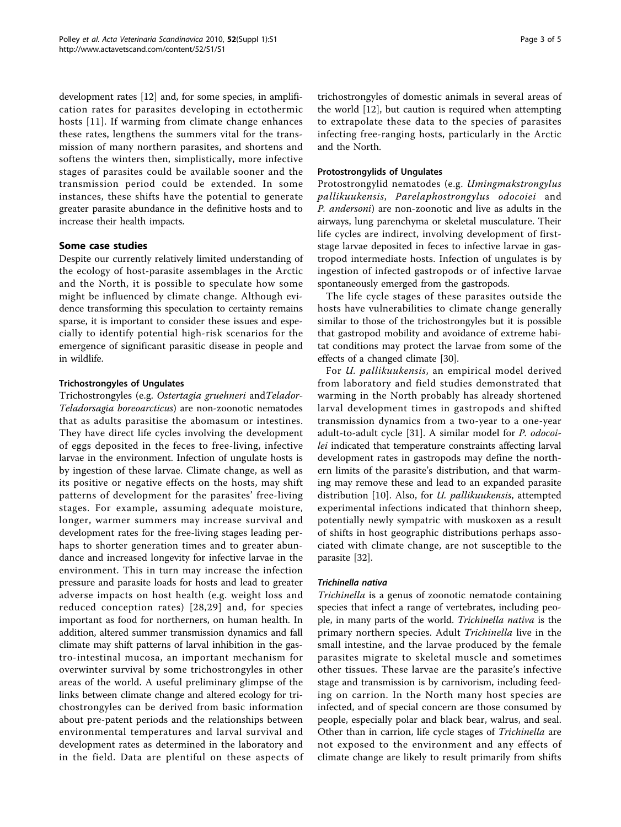development rates [[12\]](#page-3-0) and, for some species, in amplification rates for parasites developing in ectothermic hosts [[11\]](#page-3-0). If warming from climate change enhances these rates, lengthens the summers vital for the transmission of many northern parasites, and shortens and softens the winters then, simplistically, more infective stages of parasites could be available sooner and the transmission period could be extended. In some instances, these shifts have the potential to generate greater parasite abundance in the definitive hosts and to increase their health impacts.

# Some case studies

Despite our currently relatively limited understanding of the ecology of host-parasite assemblages in the Arctic and the North, it is possible to speculate how some might be influenced by climate change. Although evidence transforming this speculation to certainty remains sparse, it is important to consider these issues and especially to identify potential high-risk scenarios for the emergence of significant parasitic disease in people and in wildlife.

## Trichostrongyles of Ungulates

Trichostrongyles (e.g. Ostertagia gruehneri andTelador-Teladorsagia boreoarcticus) are non-zoonotic nematodes that as adults parasitise the abomasum or intestines. They have direct life cycles involving the development of eggs deposited in the feces to free-living, infective larvae in the environment. Infection of ungulate hosts is by ingestion of these larvae. Climate change, as well as its positive or negative effects on the hosts, may shift patterns of development for the parasites' free-living stages. For example, assuming adequate moisture, longer, warmer summers may increase survival and development rates for the free-living stages leading perhaps to shorter generation times and to greater abundance and increased longevity for infective larvae in the environment. This in turn may increase the infection pressure and parasite loads for hosts and lead to greater adverse impacts on host health (e.g. weight loss and reduced conception rates) [[28](#page-4-0),[29\]](#page-4-0) and, for species important as food for northerners, on human health. In addition, altered summer transmission dynamics and fall climate may shift patterns of larval inhibition in the gastro-intestinal mucosa, an important mechanism for overwinter survival by some trichostrongyles in other areas of the world. A useful preliminary glimpse of the links between climate change and altered ecology for trichostrongyles can be derived from basic information about pre-patent periods and the relationships between environmental temperatures and larval survival and development rates as determined in the laboratory and in the field. Data are plentiful on these aspects of

trichostrongyles of domestic animals in several areas of the world [\[12](#page-3-0)], but caution is required when attempting to extrapolate these data to the species of parasites infecting free-ranging hosts, particularly in the Arctic and the North.

# Protostrongylids of Ungulates

Protostrongylid nematodes (e.g. Umingmakstrongylus pallikuukensis, Parelaphostrongylus odocoiei and P. andersoni) are non-zoonotic and live as adults in the airways, lung parenchyma or skeletal musculature. Their life cycles are indirect, involving development of firststage larvae deposited in feces to infective larvae in gastropod intermediate hosts. Infection of ungulates is by ingestion of infected gastropods or of infective larvae spontaneously emerged from the gastropods.

The life cycle stages of these parasites outside the hosts have vulnerabilities to climate change generally similar to those of the trichostrongyles but it is possible that gastropod mobility and avoidance of extreme habitat conditions may protect the larvae from some of the effects of a changed climate [\[30](#page-4-0)].

For U. pallikuukensis, an empirical model derived from laboratory and field studies demonstrated that warming in the North probably has already shortened larval development times in gastropods and shifted transmission dynamics from a two-year to a one-year adult-to-adult cycle [[31\]](#page-4-0). A similar model for P. odocoilei indicated that temperature constraints affecting larval development rates in gastropods may define the northern limits of the parasite's distribution, and that warming may remove these and lead to an expanded parasite distribution [\[10](#page-3-0)]. Also, for *U. pallikuukensis*, attempted experimental infections indicated that thinhorn sheep, potentially newly sympatric with muskoxen as a result of shifts in host geographic distributions perhaps associated with climate change, are not susceptible to the parasite [[32](#page-4-0)].

#### Trichinella nativa

Trichinella is a genus of zoonotic nematode containing species that infect a range of vertebrates, including people, in many parts of the world. Trichinella nativa is the primary northern species. Adult Trichinella live in the small intestine, and the larvae produced by the female parasites migrate to skeletal muscle and sometimes other tissues. These larvae are the parasite's infective stage and transmission is by carnivorism, including feeding on carrion. In the North many host species are infected, and of special concern are those consumed by people, especially polar and black bear, walrus, and seal. Other than in carrion, life cycle stages of Trichinella are not exposed to the environment and any effects of climate change are likely to result primarily from shifts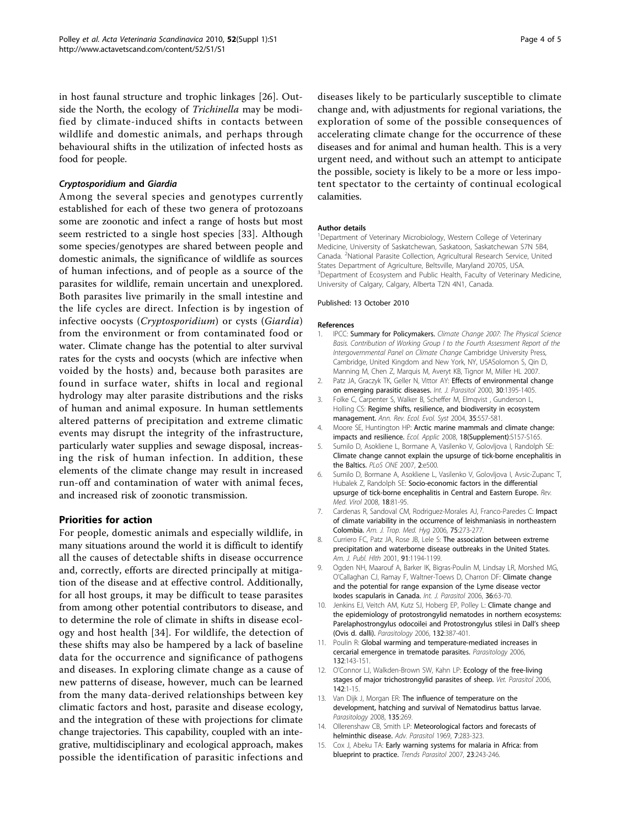<span id="page-3-0"></span>in host faunal structure and trophic linkages [[26\]](#page-4-0). Outside the North, the ecology of Trichinella may be modified by climate-induced shifts in contacts between wildlife and domestic animals, and perhaps through behavioural shifts in the utilization of infected hosts as food for people.

#### Cryptosporidium and Giardia

Among the several species and genotypes currently established for each of these two genera of protozoans some are zoonotic and infect a range of hosts but most seem restricted to a single host species [[33\]](#page-4-0). Although some species/genotypes are shared between people and domestic animals, the significance of wildlife as sources of human infections, and of people as a source of the parasites for wildlife, remain uncertain and unexplored. Both parasites live primarily in the small intestine and the life cycles are direct. Infection is by ingestion of infective oocysts (Cryptosporidium) or cysts (Giardia) from the environment or from contaminated food or water. Climate change has the potential to alter survival rates for the cysts and oocysts (which are infective when voided by the hosts) and, because both parasites are found in surface water, shifts in local and regional hydrology may alter parasite distributions and the risks of human and animal exposure. In human settlements altered patterns of precipitation and extreme climatic events may disrupt the integrity of the infrastructure, particularly water supplies and sewage disposal, increasing the risk of human infection. In addition, these elements of the climate change may result in increased run-off and contamination of water with animal feces, and increased risk of zoonotic transmission.

#### Priorities for action

For people, domestic animals and especially wildlife, in many situations around the world it is difficult to identify all the causes of detectable shifts in disease occurrence and, correctly, efforts are directed principally at mitigation of the disease and at effective control. Additionally, for all host groups, it may be difficult to tease parasites from among other potential contributors to disease, and to determine the role of climate in shifts in disease ecology and host health [\[34\]](#page-4-0). For wildlife, the detection of these shifts may also be hampered by a lack of baseline data for the occurrence and significance of pathogens and diseases. In exploring climate change as a cause of new patterns of disease, however, much can be learned from the many data-derived relationships between key climatic factors and host, parasite and disease ecology, and the integration of these with projections for climate change trajectories. This capability, coupled with an integrative, multidisciplinary and ecological approach, makes possible the identification of parasitic infections and

diseases likely to be particularly susceptible to climate change and, with adjustments for regional variations, the exploration of some of the possible consequences of accelerating climate change for the occurrence of these diseases and for animal and human health. This is a very urgent need, and without such an attempt to anticipate the possible, society is likely to be a more or less impotent spectator to the certainty of continual ecological calamities.

#### Author details

<sup>1</sup>Department of Veterinary Microbiology, Western College of Veterinary Medicine, University of Saskatchewan, Saskatoon, Saskatchewan S7N 5B4, Canada. <sup>2</sup>National Parasite Collection, Agricultural Research Service, United States Department of Agriculture, Beltsville, Maryland 20705, USA. <sup>3</sup>Department of Ecosystem and Public Health, Faculty of Veterinary Medicine University of Calgary, Calgary, Alberta T2N 4N1, Canada.

#### Published: 13 October 2010

#### References

- 1. IPCC: Summary for Policymakers. Climate Change 2007: The Physical Science Basis. Contribution of Working Group I to the Fourth Assessment Report of the Intergovernmental Panel on Climate Change Cambridge University Press, Cambridge, United Kingdom and New York, NY, USASolomon S, Qin D, Manning M, Chen Z, Marquis M, Averyt KB, Tignor M, Miller HL 2007.
- 2. Patz JA, Graczyk TK, Geller N, Vittor AY: [Effects of environmental change](http://www.ncbi.nlm.nih.gov/pubmed/11113264?dopt=Abstract) [on emerging parasitic diseases.](http://www.ncbi.nlm.nih.gov/pubmed/11113264?dopt=Abstract) Int. J. Parasitol 2000, 30:1395-1405.
- 3. Folke C, Carpenter S, Walker B, Scheffer M, Elmqvist , Gunderson L, Holling CS: Regime shifts, resilience, and biodiversity in ecosystem management. Ann. Rev. Ecol. Evol. Syst 2004, 35:557-581.
- 4. Moore SE, Huntington HP: Arctic marine mammals and climate change: impacts and resilience. Ecol. Applic 2008, 18(Supplement):S157-S165.
- 5. Sumilo D, Asokliene L, Bormane A, Vasilenko V, Golovljova I, Randolph SE: [Climate change cannot explain the upsurge of tick-borne encephalitis in](http://www.ncbi.nlm.nih.gov/pubmed/17551580?dopt=Abstract) [the Baltics.](http://www.ncbi.nlm.nih.gov/pubmed/17551580?dopt=Abstract) PLoS ONE 2007, 2:e500.
- 6. Sumilo D, Bormane A, Asokliene L, Vasilenko V, Golovljova I, Avsic-Zupanc T, Hubalek Z, Randolph SE: [Socio-economic factors in the differential](http://www.ncbi.nlm.nih.gov/pubmed/18183571?dopt=Abstract) [upsurge of tick-borne encephalitis in Central and Eastern Europe.](http://www.ncbi.nlm.nih.gov/pubmed/18183571?dopt=Abstract) Rev. Med. Virol 2008, 18:81-95.
- 7. Cardenas R, Sandoval CM, Rodriguez-Morales AJ, Franco-Paredes C: [Impact](http://www.ncbi.nlm.nih.gov/pubmed/16896132?dopt=Abstract) [of climate variability in the occurrence of leishmaniasis in northeastern](http://www.ncbi.nlm.nih.gov/pubmed/16896132?dopt=Abstract) [Colombia.](http://www.ncbi.nlm.nih.gov/pubmed/16896132?dopt=Abstract) Am. J. Trop. Med. Hyg 2006, 75:273-277.
- 8. Curriero FC, Patz JA, Rose JB, Lele S: The association between extreme precipitation and waterborne disease outbreaks in the United States. Am. J. Publ. Hlth 2001, 91:1194-1199.
- 9. Ogden NH, Maarouf A, Barker IK, Bigras-Poulin M, Lindsay LR, Morshed MG, O'Callaghan CJ, Ramay F, Waltner-Toews D, Charron DF: [Climate change](http://www.ncbi.nlm.nih.gov/pubmed/16229849?dopt=Abstract) [and the potential for range expansion of the Lyme disease vector](http://www.ncbi.nlm.nih.gov/pubmed/16229849?dopt=Abstract) [Ixodes scapularis in Canada.](http://www.ncbi.nlm.nih.gov/pubmed/16229849?dopt=Abstract) Int. J. Parasitol 2006, 36:63-70.
- 10. Jenkins EJ, Veitch AM, Kutz SJ, Hoberg EP, Polley L: [Climate change and](http://www.ncbi.nlm.nih.gov/pubmed/16332289?dopt=Abstract) [the epidemiology of protostrongylid nematodes in northern ecosystems:](http://www.ncbi.nlm.nih.gov/pubmed/16332289?dopt=Abstract) [Parelaphostrongylus odocoilei and Protostrongylus stilesi in Dall](http://www.ncbi.nlm.nih.gov/pubmed/16332289?dopt=Abstract)'s sheep [\(Ovis d. dalli\).](http://www.ncbi.nlm.nih.gov/pubmed/16332289?dopt=Abstract) Parasitology 2006, 132:387-401.
- 11. Poulin R: [Global warming and temperature-mediated increases in](http://www.ncbi.nlm.nih.gov/pubmed/16393363?dopt=Abstract) [cercarial emergence in trematode parasites.](http://www.ncbi.nlm.nih.gov/pubmed/16393363?dopt=Abstract) Parasitology 2006, 132:143-151.
- 12. O'Connor LJ, Walkden-Brown SW, Kahn LP: [Ecology of the free-living](http://www.ncbi.nlm.nih.gov/pubmed/17011129?dopt=Abstract) [stages of major trichostrongylid parasites of sheep.](http://www.ncbi.nlm.nih.gov/pubmed/17011129?dopt=Abstract) Vet. Parasitol 2006, 142:1-15.
- 13. Van Dijk J, Morgan ER: [The influence of temperature on the](http://www.ncbi.nlm.nih.gov/pubmed/17991303?dopt=Abstract) [development, hatching and survival of Nematodirus battus larvae.](http://www.ncbi.nlm.nih.gov/pubmed/17991303?dopt=Abstract) Parasitology 2008, 135:269.
- 14. Ollerenshaw CB, Smith LP: [Meteorological factors and forecasts of](http://www.ncbi.nlm.nih.gov/pubmed/4935270?dopt=Abstract) [helminthic disease.](http://www.ncbi.nlm.nih.gov/pubmed/4935270?dopt=Abstract) Adv. Parasitol 1969, 7:283-323.
- 15. Cox J, Abeku TA: [Early warning systems for malaria in Africa: from](http://www.ncbi.nlm.nih.gov/pubmed/17412641?dopt=Abstract) [blueprint to practice.](http://www.ncbi.nlm.nih.gov/pubmed/17412641?dopt=Abstract) Trends Parasitol 2007, 23:243-246.